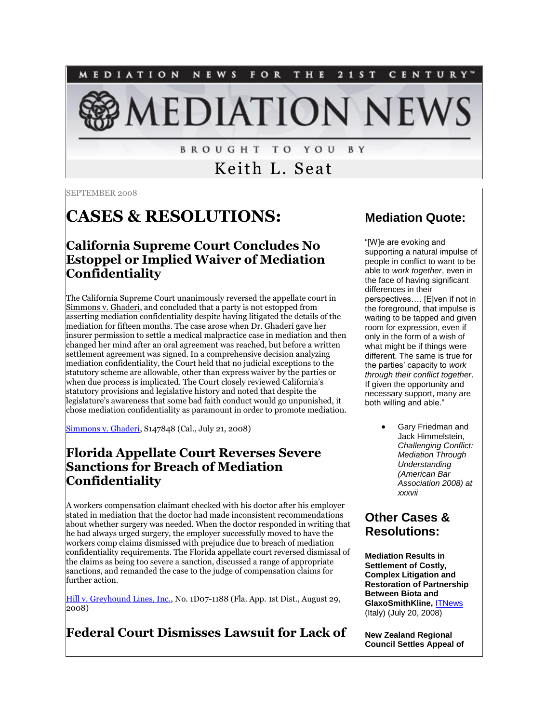NEWS FOR THE 2 1 S T MEDIATION CENTURY" **EDIATION NEV** 

> **BROUGHT TO YOU** B Y

> > Keith L. Seat

SEPTEMBER 2008

# **CASES & RESOLUTIONS:**

#### **California Supreme Court Concludes No Estoppel or Implied Waiver of Mediation Confidentiality**

The California Supreme Court unanimously reversed the appellate court in Simmons v. Ghaderi, and concluded that a party is not estopped from asserting mediation confidentiality despite having litigated the details of the mediation for fifteen months. The case arose when Dr. Ghaderi gave her insurer permission to settle a medical malpractice case in mediation and then changed her mind after an oral agreement was reached, but before a written settlement agreement was signed. In a comprehensive decision analyzing mediation confidentiality, the Court held that no judicial exceptions to the statutory scheme are allowable, other than express waiver by the parties or when due process is implicated. The Court closely reviewed California's statutory provisions and legislative history and noted that despite the legislature's awareness that some bad faith conduct would go unpunished, it chose mediation confidentiality as paramount in order to promote mediation.

[Simmons v. Ghaderi,](http://www.courtinfo.ca.gov/opinions/documents/S147848.PDF) S147848 (Cal., July 21, 2008)

#### **Florida Appellate Court Reverses Severe Sanctions for Breach of Mediation Confidentiality**

A workers compensation claimant checked with his doctor after his employer stated in mediation that the doctor had made inconsistent recommendations about whether surgery was needed. When the doctor responded in writing that he had always urged surgery, the employer successfully moved to have the workers comp claims dismissed with prejudice due to breach of mediation confidentiality requirements. The Florida appellate court reversed dismissal of the claims as being too severe a sanction, discussed a range of appropriate sanctions, and remanded the case to the judge of compensation claims for further action.

[Hill v. Greyhound Lines, Inc.,](http://opinions.1dca.org/written/opinions2008/08-29-08/07-1188.pdf) No. 1D07-1188 (Fla. App. 1st Dist., August 29, 2008)

# **Federal Court Dismisses Lawsuit for Lack of**

#### **Mediation Quote:**

"[W]e are evoking and supporting a natural impulse of people in conflict to want to be able to *work together*, even in the face of having significant differences in their perspectives…. [E]ven if not in the foreground, that impulse is waiting to be tapped and given room for expression, even if only in the form of a wish of what might be if things were different. The same is true for the parties' capacity to *work through their conflict together*. If given the opportunity and necessary support, many are both willing and able."

> Gary Friedman and Jack Himmelstein, *Challenging Conflict: Mediation Through Understanding (American Bar Association 2008) at xxxvii*

#### **Other Cases & Resolutions:**

**Mediation Results in Settlement of Costly, Complex Litigation and Restoration of Partnership Between Biota and GlaxoSmithKline,** [ITNews](http://tinyurl.com/6xwo79) (Italy) (July 20, 2008)

**New Zealand Regional Council Settles Appeal of**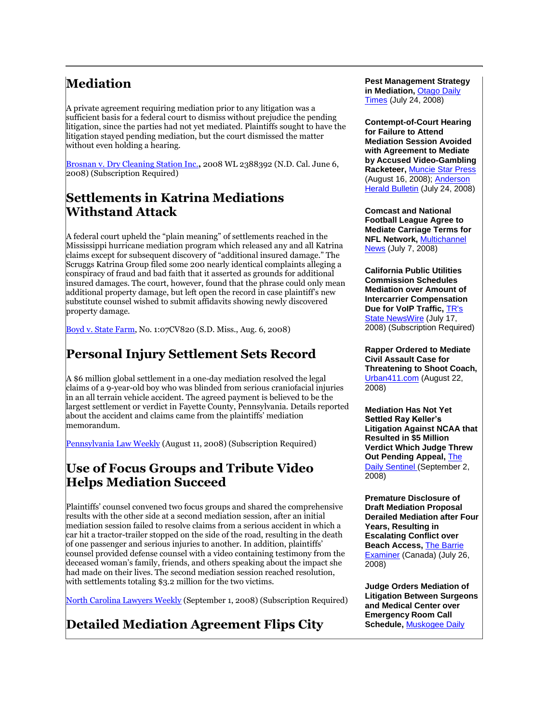# **Mediation**

A private agreement requiring mediation prior to any litigation was a sufficient basis for a federal court to dismiss without prejudice the pending litigation, since the parties had not yet mediated. Plaintiffs sought to have the litigation stayed pending mediation, but the court dismissed the matter without even holding a hearing.

[Brosnan v. Dry Cleaning Station Inc.](http://tinyurl.com/56cs4f)**,** 2008 WL 2388392 (N.D. Cal. June 6, 2008) (Subscription Required)

# **Settlements in Katrina Mediations Withstand Attack**

A federal court upheld the "plain meaning" of settlements reached in the Mississippi hurricane mediation program which released any and all Katrina claims except for subsequent discovery of "additional insured damage." The Scruggs Katrina Group filed some 200 nearly identical complaints alleging a conspiracy of fraud and bad faith that it asserted as grounds for additional insured damages. The court, however, found that the phrase could only mean additional property damage, but left open the record in case plaintiff's new substitute counsel wished to submit affidavits showing newly discovered property damage.

[Boyd v. State](http://www.mssd.uscourts.gov/Insurance%20Opinions/ch07cv820orderA0806.pdf) Farm, No. 1:07CV820 (S.D. Miss., Aug. 6, 2008)

# **Personal Injury Settlement Sets Record**

A \$6 million global settlement in a one-day mediation resolved the legal claims of a 9-year-old boy who was blinded from serious craniofacial injuries in an all terrain vehicle accident. The agreed payment is believed to be the largest settlement or verdict in Fayette County, Pennsylvania. Details reported about the accident and claims came from the plaintiffs' mediation memorandum.

[Pennsylvania Law Weekly](http://tinyurl.com/6ryjcd) (August 11, 2008) (Subscription Required)

### **Use of Focus Groups and Tribute Video Helps Mediation Succeed**

Plaintiffs' counsel convened two focus groups and shared the comprehensive results with the other side at a second mediation session, after an initial mediation session failed to resolve claims from a serious accident in which a car hit a tractor-trailer stopped on the side of the road, resulting in the death of one passenger and serious injuries to another. In addition, plaintiffs' counsel provided defense counsel with a video containing testimony from the deceased woman's family, friends, and others speaking about the impact she had made on their lives. The second mediation session reached resolution, with settlements totaling \$3.2 million for the two victims.

[North Carolina Lawyers Weekly](http://tinyurl.com/5gr446) (September 1, 2008) (Subscription Required)

**Detailed Mediation Agreement Flips City** 

#### **Pest Management Strategy in Mediation,** [Otago Daily](http://www.odt.co.nz/the-regions/otago/14597/mediation-pest-strategy-succeeds)  [Times](http://www.odt.co.nz/the-regions/otago/14597/mediation-pest-strategy-succeeds) (July 24, 2008)

**Contempt-of-Court Hearing for Failure to Attend Mediation Session Avoided with Agreement to Mediate by Accused Video-Gambling Racketeer,** [Muncie Star Press](http://sitelife.thestarpress.com/ver1.0/Direct/Process?sid=sitelife.thestarpress.com) (August 16, 2008); [Anderson](http://www.theheraldbulletin.com/local/local_story_206235206.html)  [Herald Bulletin](http://www.theheraldbulletin.com/local/local_story_206235206.html) (July 24, 2008)

**Comcast and National Football League Agree to Mediate Carriage Terms for NFL Network,** [Multichannel](http://www.multichannel.com/article/CA6575978.html)  [News](http://www.multichannel.com/article/CA6575978.html) (July 7, 2008)

**California Public Utilities Commission Schedules Mediation over Amount of Intercarrier Compensation Due for VoIP Traffic,** [TR's](http://tinyurl.com/5ejg5f)  [State NewsWire](http://tinyurl.com/5ejg5f) (July 17, 2008) (Subscription Required)

**Rapper Ordered to Mediate Civil Assault Case for Threatening to Shoot Coach,**  [Urban411.com](http://tinyurl.com/5l9s5q) (August 22, 2008)

**Mediation Has Not Yet Settled Ray Keller's Litigation Against NCAA that Resulted in \$5 Million Verdict Which Judge Threw Out Pending Appeal, The** [Daily Sentinel \(](http://www.thedailysentinel.com/story.lasso?ewcd=93e7ad3f90281da7)September 2, 2008)

**Premature Disclosure of Draft Mediation Proposal Derailed Mediation after Four Years, Resulting in Escalating Conflict over Beach Access,** [The Barrie](http://www.thebarrieexaminer.com/ArticleDisplay.aspx?e=1128992)  [Examiner](http://www.thebarrieexaminer.com/ArticleDisplay.aspx?e=1128992) (Canada) (July 26, 2008)

**Judge Orders Mediation of Litigation Between Surgeons and Medical Center over Emergency Room Call Schedule,** [Muskogee Daily](http://www.muskogeephoenix.com/local/local_story_240232038.html?start:int=0)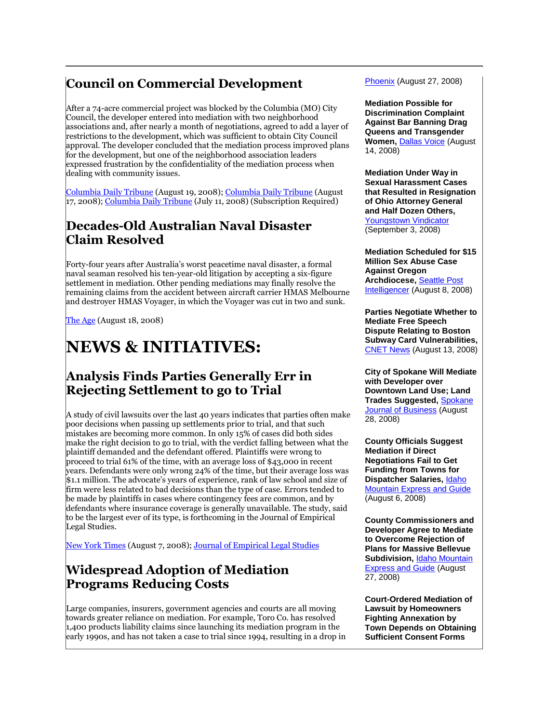# **Council on Commercial Development**

After a 74-acre commercial project was blocked by the Columbia (MO) City Council, the developer entered into mediation with two neighborhood associations and, after nearly a month of negotiations, agreed to add a layer of restrictions to the development, which was sufficient to obtain City Council approval. The developer concluded that the mediation process improved plans for the development, but one of the neighborhood association leaders expressed frustration by the confidentiality of the mediation process when dealing with community issues.

[Columbia Daily Tribune](http://tinyurl.com/6nsz3x) (August 19, 2008); [Columbia Daily Tribune](http://www.columbiatribune.com/2008/Aug/20080817News010.asp) (August 17, 2008); [Columbia Daily Tribune](http://tinyurl.com/69z87q) (July 11, 2008) (Subscription Required)

# **Decades-Old Australian Naval Disaster Claim Resolved**

Forty-four years after Australia's worst peacetime naval disaster, a formal naval seaman resolved his ten-year-old litigation by accepting a six-figure settlement in mediation. Other pending mediations may finally resolve the remaining claims from the accident between aircraft carrier HMAS Melbourne and destroyer HMAS Voyager, in which the Voyager was cut in two and sunk.

[The Age](http://tinyurl.com/49h8qe) (August 18, 2008)

# **NEWS & INITIATIVES:**

#### **Analysis Finds Parties Generally Err in Rejecting Settlement to go to Trial**

A study of civil lawsuits over the last 40 years indicates that parties often make poor decisions when passing up settlements prior to trial, and that such mistakes are becoming more common. In only 15% of cases did both sides make the right decision to go to trial, with the verdict falling between what the plaintiff demanded and the defendant offered. Plaintiffs were wrong to proceed to trial 61% of the time, with an average loss of \$43,000 in recent years. Defendants were only wrong 24% of the time, but their average loss was \$1.1 million. The advocate's years of experience, rank of law school and size of firm were less related to bad decisions than the type of case. Errors tended to be made by plaintiffs in cases where contingency fees are common, and by defendants where insurance coverage is generally unavailable. The study, said to be the largest ever of its type, is forthcoming in the Journal of Empirical Legal Studies.

[New York Times](http://www.nytimes.com/2008/08/08/business/08law.html?_r=2&sq=Study%20&adxnnl=1&oref=slogin&scp=1&adxnnlx=1219403445-GM4QcXM8GIxGwi7FK/RwoQ) (August 7, 2008); [Journal of Empirical Legal Studies](http://www.blackwellpublishing.com/journal.asp?ref=1740-1453&site=1)

#### **Widespread Adoption of Mediation Programs Reducing Costs**

Large companies, insurers, government agencies and courts are all moving towards greater reliance on mediation. For example, Toro Co. has resolved 1,400 products liability claims since launching its mediation program in the early 1990s, and has not taken a case to trial since 1994, resulting in a drop in Phoenix (August 27, 2008)

**Mediation Possible for Discrimination Complaint Against Bar Banning Drag Queens and Transgender Women,** [Dallas Voice](http://www.dallasvoice.com/artman/publish/article_9592.php) (August 14, 2008)

**Mediation Under Way in Sexual Harassment Cases that Resulted in Resignation of Ohio Attorney General and Half Dozen Others,**  [Youngstown Vindicator](http://www.vindy.com/news/2008/sep/04/mediation-addresses-sexual-harassment) (September 3, 2008)

**Mediation Scheduled for \$15 Million Sex Abuse Case Against Oregon Archdiocese,** [Seattle Post](http://seattlepi.nwsource.com/local/374167_jesuits09.html)  [Intelligencer](http://seattlepi.nwsource.com/local/374167_jesuits09.html) (August 8, 2008)

**Parties Negotiate Whether to Mediate Free Speech Dispute Relating to Boston Subway Card Vulnerabilities,**  [CNET News](http://news.cnet.com/8301-1009_3-10016114-83.html?hhTest=1) (August 13, 2008)

**City of Spokane Will Mediate with Developer over Downtown Land Use; Land Trades Suggested,** [Spokane](http://www.spokanejournal.com/spokane_id=article&sub=3701)  [Journal of Business](http://www.spokanejournal.com/spokane_id=article&sub=3701) (August 28, 2008)

**County Officials Suggest Mediation if Direct Negotiations Fail to Get Funding from Towns for Dispatcher Salaries,** [Idaho](http://www.mtexpress.com/index2.php?ID=2005121997)  [Mountain Express and Guide](http://www.mtexpress.com/index2.php?ID=2005121997) (August 6, 2008)

**County Commissioners and Developer Agree to Mediate to Overcome Rejection of Plans for Massive Bellevue Subdivision,** [Idaho Mountain](http://www.mtexpress.com/index2.php?ID=2005121997)  [Express and Guide](http://www.mtexpress.com/index2.php?ID=2005121997) (August 27, 2008)

**Court-Ordered Mediation of Lawsuit by Homeowners Fighting Annexation by Town Depends on Obtaining Sufficient Consent Forms**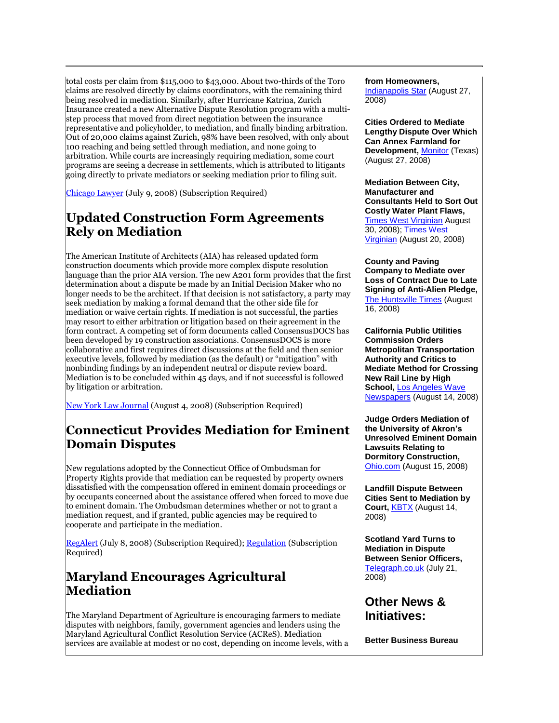total costs per claim from \$115,000 to \$43,000. About two-thirds of the Toro claims are resolved directly by claims coordinators, with the remaining third being resolved in mediation. Similarly, after Hurricane Katrina, Zurich Insurance created a new Alternative Dispute Resolution program with a multistep process that moved from direct negotiation between the insurance representative and policyholder, to mediation, and finally binding arbitration. Out of 20,000 claims against Zurich, 98% have been resolved, with only about 100 reaching and being settled through mediation, and none going to arbitration. While courts are increasingly requiring mediation, some court programs are seeing a decrease in settlements, which is attributed to litigants going directly to private mediators or seeking mediation prior to filing suit.

[Chicago Lawyer](http://tinyurl.com/5gllcv) (July 9, 2008) (Subscription Required)

#### **Updated Construction Form Agreements Rely on Mediation**

The American Institute of Architects (AIA) has released updated form construction documents which provide more complex dispute resolution language than the prior AIA version. The new A201 form provides that the first determination about a dispute be made by an Initial Decision Maker who no longer needs to be the architect. If that decision is not satisfactory, a party may seek mediation by making a formal demand that the other side file for mediation or waive certain rights. If mediation is not successful, the parties may resort to either arbitration or litigation based on their agreement in the form contract. A competing set of form documents called ConsensusDOCS has been developed by 19 construction associations. ConsensusDOCS is more collaborative and first requires direct discussions at the field and then senior executive levels, followed by mediation (as the default) or "mitigation" with nonbinding findings by an independent neutral or dispute review board. Mediation is to be concluded within 45 days, and if not successful is followed by litigation or arbitration.

[New York Law Journal](http://tinyurl.com/65urzo) (August 4, 2008) (Subscription Required)

### **Connecticut Provides Mediation for Eminent Domain Disputes**

New regulations adopted by the Connecticut Office of Ombudsman for Property Rights provide that mediation can be requested by property owners dissatisfied with the compensation offered in eminent domain proceedings or by occupants concerned about the assistance offered when forced to move due to eminent domain. The Ombudsman determines whether or not to grant a mediation request, and if granted, public agencies may be required to cooperate and participate in the mediation.

[RegAlert](http://tinyurl.com/5jv53b) (July 8, 2008) (Subscription Required); [Regulation](http://tinyurl.com/5wwhjy) (Subscription Required)

#### **Maryland Encourages Agricultural Mediation**

The Maryland Department of Agriculture is encouraging farmers to mediate disputes with neighbors, family, government agencies and lenders using the Maryland Agricultural Conflict Resolution Service (ACReS). Mediation services are available at modest or no cost, depending on income levels, with a

#### **from Homeowners,**

[Indianapolis Star](http://sitelife.indystar.com/ver1.0/Direct/Process?sid=sitelife.indystar.com) (August 27, 2008)

**Cities Ordered to Mediate Lengthy Dispute Over Which Can Annex Farmland for Development, [Monitor](http://www.themonitor.com/articles/pharr_16541___article.html/juan_city.html) (Texas)** (August 27, 2008)

**Mediation Between City, Manufacturer and Consultants Held to Sort Out Costly Water Plant Flaws,**  [Times West Virginian](http://www.timeswv.com/todaystopnews/local_story_243014902.html) August 30, 2008); [Times West](http://www.timeswv.com/todaystopnews/local_story_233004828.html)  [Virginian](http://www.timeswv.com/todaystopnews/local_story_233004828.html) (August 20, 2008)

**County and Paving Company to Mediate over Loss of Contract Due to Late Signing of Anti-Alien Pledge,**  [The Huntsville Times](http://www.al.com/news/huntsvilletimes/index.ssf?/base/news/1218878130262030.xml&coll=1) (August 16, 2008)

**California Public Utilities Commission Orders Metropolitan Transportation Authority and Critics to Mediate Method for Crossing New Rail Line by High School,** [Los Angeles Wave](http://tinyurl.com/5e4896)  [Newspapers](http://tinyurl.com/5e4896) (August 14, 2008)

**Judge Orders Mediation of the University of Akron's Unresolved Eminent Domain Lawsuits Relating to Dormitory Construction,**  [Ohio.com](http://www.ohio.com/news/27007644.html) (August 15, 2008)

**Landfill Dispute Between Cities Sent to Mediation by Court,** [KBTX](http://www.kbtx.com/local/headlines/26947424.html) (August 14, 2008)

**Scotland Yard Turns to Mediation in Dispute Between Senior Officers,**  [Telegraph.co.uk](http://tinyurl.com/5f3gng) (July 21, 2008)

#### **Other News & Initiatives:**

**Better Business Bureau**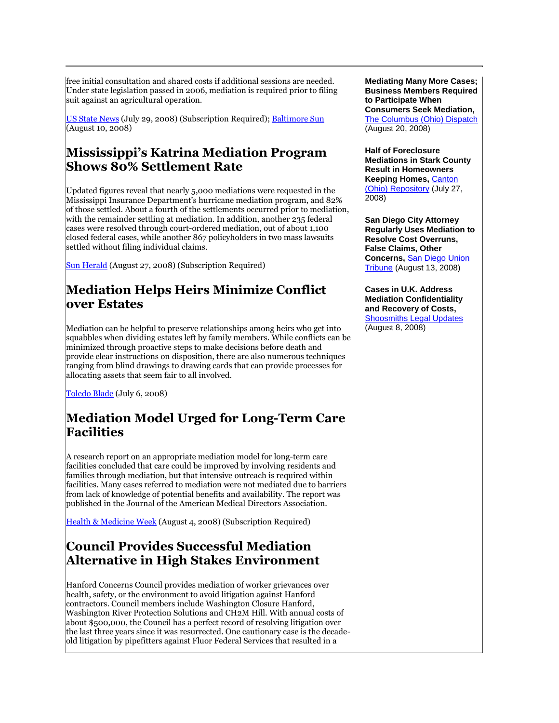free initial consultation and shared costs if additional sessions are needed. Under state legislation passed in 2006, mediation is required prior to filing suit against an agricultural operation.

[US State News](http://tinyurl.com/6hjst3) (July 29, 2008) (Subscription Required); [Baltimore Sun](http://www.baltimoresun.com/news/local/harford/bal-ha.farm10aug10,0,1276401.story) (August 10, 2008)

#### **Mississippi's Katrina Mediation Program Shows 80% Settlement Rate**

Updated figures reveal that nearly 5,000 mediations were requested in the Mississippi Insurance Department's hurricane mediation program, and 82% of those settled. About a fourth of the settlements occurred prior to mediation, with the remainder settling at mediation. In addition, another 235 federal cases were resolved through court-ordered mediation, out of about 1,100 closed federal cases, while another 867 policyholders in two mass lawsuits settled without filing individual claims.

[Sun Herald](http://tinyurl.com/64wjyw) (August 27, 2008) (Subscription Required)

### **Mediation Helps Heirs Minimize Conflict over Estates**

Mediation can be helpful to preserve relationships among heirs who get into squabbles when dividing estates left by family members. While conflicts can be minimized through proactive steps to make decisions before death and provide clear instructions on disposition, there are also numerous techniques ranging from blind drawings to drawing cards that can provide processes for allocating assets that seem fair to all involved.

[Toledo Blade](http://toledoblade.com/apps/pbcs.dll/article?AID=/20080706/ART16/640668917) (July 6, 2008)

# **Mediation Model Urged for Long-Term Care Facilities**

A research report on an appropriate mediation model for long-term care facilities concluded that care could be improved by involving residents and families through mediation, but that intensive outreach is required within facilities. Many cases referred to mediation were not mediated due to barriers from lack of knowledge of potential benefits and availability. The report was published in the Journal of the American Medical Directors Association.

[Health & Medicine Week](http://tinyurl.com/5jhhmm) (August 4, 2008) (Subscription Required)

### **Council Provides Successful Mediation Alternative in High Stakes Environment**

Hanford Concerns Council provides mediation of worker grievances over health, safety, or the environment to avoid litigation against Hanford contractors. Council members include Washington Closure Hanford, Washington River Protection Solutions and CH2M Hill. With annual costs of about \$500,000, the Council has a perfect record of resolving litigation over the last three years since it was resurrected. One cautionary case is the decadeold litigation by pipefitters against Fluor Federal Services that resulted in a

**Mediating Many More Cases; Business Members Required to Participate When Consumers Seek Mediation,**  [The Columbus \(Ohio\) Dispatch](http://tinyurl.com/66jlrv) (August 20, 2008)

**Half of Foreclosure Mediations in Stark County Result in Homeowners Keeping Homes,** [Canton](http://www.cantonrep.com/index.php?ID=422684&Category=3&subCategoryID=)  [\(Ohio\) Repository](http://www.cantonrep.com/index.php?ID=422684&Category=3&subCategoryID=) (July 27, 2008)

**San Diego City Attorney Regularly Uses Mediation to Resolve Cost Overruns, False Claims, Other Concerns,** [San Diego Union](http://www.signonsandiego.com/news/metro/20080813-9999-1m13demo.html)  [Tribune](http://www.signonsandiego.com/news/metro/20080813-9999-1m13demo.html) (August 13, 2008)

**Cases in U.K. Address Mediation Confidentiality and Recovery of Costs,**  [Shoosmiths Legal Updates](http://www.shoosmiths.co.uk/news/1446.asp) (August 8, 2008)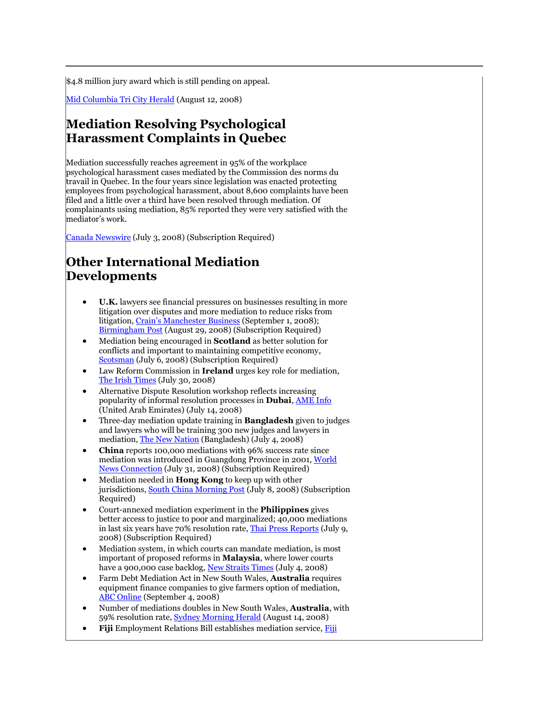\$4.8 million jury award which is still pending on appeal.

[Mid Columbia Tri City Herald](http://www.tri-cityherald.com/962/story/272594.html) (August 12, 2008)

#### **Mediation Resolving Psychological Harassment Complaints in Quebec**

Mediation successfully reaches agreement in 95% of the workplace psychological harassment cases mediated by the Commission des norms du travail in Quebec. In the four years since legislation was enacted protecting employees from psychological harassment, about 8,600 complaints have been filed and a little over a third have been resolved through mediation. Of complainants using mediation, 85% reported they were very satisfied with the mediator's work.

[Canada Newswire](http://tinyurl.com/6gtgpe) (July 3, 2008) (Subscription Required)

### **Other International Mediation Developments**

- **U.K.** lawyers see financial pressures on businesses resulting in more litigation over disputes and more mediation to reduce risks from litigation, [Crain's Manchester Business](http://tinyurl.com/5hmkux) (September 1, 2008); [Birmingham Post](http://tinyurl.com/6mv8z9) (August 29, 2008) (Subscription Required)
- Mediation being encouraged in **Scotland** as better solution for conflicts and important to maintaining competitive economy, [Scotsman](http://news.scotsman.com/politics/Mediation-grows-as-firms-see.4260970.jp) (July 6, 2008) (Subscription Required)
- Law Reform Commission in **Ireland** urges key role for mediation, [The Irish Times](http://www.irishtimes.com/newspaper/frontpage/2008/0730/1217368580603.html) (July 30, 2008)
- Alternative Dispute Resolution workshop reflects increasing popularity of informal resolution processes in **Dubai**, [AME Info](http://www.ameinfo.com/163469.html) (United Arab Emirates) (July 14, 2008)
- Three-day mediation update training in **Bangladesh** given to judges and lawyers who will be training 300 new judges and lawyers in mediation[, The New Nation](http://nation.ittefaq.com/issues/2008/07/04/news0504.htm) (Bangladesh) (July 4, 2008)
- **China** reports 100,000 mediations with 96% success rate since mediation was introduced in Guangdong Province in 2001, [World](http://tinyurl.com/5khzku)  [News Connection](http://tinyurl.com/5khzku) (July 31, 2008) (Subscription Required)
- Mediation needed in **Hong Kong** to keep up with other jurisdictions[, South China Morning Post](http://tinyurl.com/67ethy) (July 8, 2008) (Subscription Required)
- Court-annexed mediation experiment in the **Philippines** gives better access to justice to poor and marginalized; 40,000 mediations in last six years have 70% resolution rate[, Thai Press Reports](http://tinyurl.com/6m22fr) (July 9, 2008) (Subscription Required)
- Mediation system, in which courts can mandate mediation, is most important of proposed reforms in **Malaysia**, where lower courts have a 900,000 case backlog[, New Straits Times](http://www.nst.com.my/Current_News/NST/Friday/Columns/2284085/Article/index_html) (July 4, 2008)
- Farm Debt Mediation Act in New South Wales, **Australia** requires equipment finance companies to give farmers option of mediation, [ABC Online](http://www.abc.net.au/rural/news/content/200809/s2355187.htm) (September 4, 2008)
- Number of mediations doubles in New South Wales, **Australia**, with 59% resolution rate[, Sydney Morning Herald](http://tinyurl.com/5eeoab) (August 14, 2008)
- **Fiji** Employment Relations Bill establishes mediation service, [Fiji](http://www.fijitimes.com/story.aspx?id=98367)